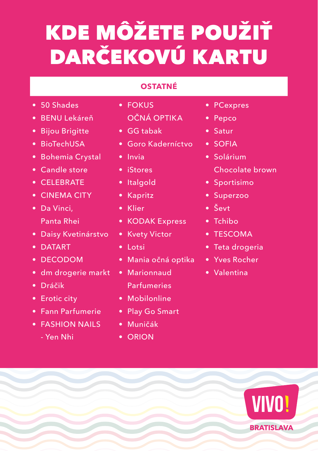# KDE MÔŽETE POUŽIŤ DARČEKOVÚ KARTU

#### **OSTATNÉ**

- 50 Shades
- • BENU Lekáreň
- Bijou Brigitte
- BioTechUSA
- Bohemia Crystal
- Candle store
- CELEBRATE
- CINEMA CITY
- Da Vinci, Panta Rhei
- Daisy Kvetinárstvo
- DATART
- DECODOM
- dm drogerie markt
- • Dráčik
- Erotic city
- Fann Parfumerie
- FASHION NAILS
	- Yen Nhi
- FOKUS OČNÁ OPTIKA
- GG tabak
- Goro Kaderníctvo
- Invia
- iStores
- Italgold
- Kapritz
- Klier
- KODAK Express
- Kvety Victor
- Lotsi
- • Mania očná optika
- Marionnaud Parfumeries
- Mobilonline
- Play Go Smart
- • Muničák
- ORION
- PCexpres
- Pepco
- Satur
- SOFIA
- Solárium Chocolate brown
- Sportisimo
- Superzoo
- Ševt
- Tchibo
- TESCOMA
- Teta drogeria
- Yves Rocher
- Valentina

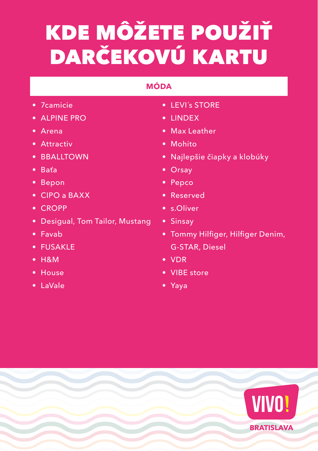# KDE MÔŽETE POUŽIŤ DARČEKOVÚ KARTU

#### **MÓDA**

- 7camicie
- ALPINE PRO
- Arena
- Attractiv
- BBALLTOWN
- • Baťa
- Bepon
- CIPO a BAXX
- CROPP
- Desigual, Tom Tailor, Mustang
- Favab
- FUSAKLE
- H&M
- House
- LaVale
- LEVI´s STORE
- LINDEX
- Max Leather
- Mohito
- • Najlepšie čiapky a klobúky
- Orsay
- Pepco
- Reserved
- s.Oliver
- Sinsay
- • Tommy Hilfiger, Hilfiger Denim, G-STAR, Diesel
- VDR
- VIBE store
- Yaya